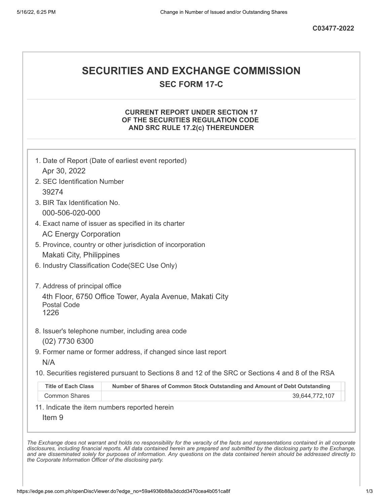# **SECURITIES AND EXCHANGE COMMISSION**

**SEC FORM 17-C**

# **CURRENT REPORT UNDER SECTION 17 OF THE SECURITIES REGULATION CODE AND SRC RULE 17.2(c) THEREUNDER**

| Apr 30, 2022                                         | 1. Date of Report (Date of earliest event reported)                                               |
|------------------------------------------------------|---------------------------------------------------------------------------------------------------|
| 2. SEC Identification Number                         |                                                                                                   |
| 39274                                                |                                                                                                   |
| 3. BIR Tax Identification No.                        |                                                                                                   |
| 000-506-020-000                                      |                                                                                                   |
|                                                      | 4. Exact name of issuer as specified in its charter                                               |
| <b>AC Energy Corporation</b>                         |                                                                                                   |
|                                                      | 5. Province, country or other jurisdiction of incorporation                                       |
| Makati City, Philippines                             |                                                                                                   |
|                                                      | 6. Industry Classification Code(SEC Use Only)                                                     |
| 7. Address of principal office<br><b>Postal Code</b> | 4th Floor, 6750 Office Tower, Ayala Avenue, Makati City                                           |
| 1226                                                 |                                                                                                   |
|                                                      | 8. Issuer's telephone number, including area code                                                 |
| (02) 7730 6300                                       |                                                                                                   |
| N/A                                                  | 9. Former name or former address, if changed since last report                                    |
|                                                      | 10. Securities registered pursuant to Sections 8 and 12 of the SRC or Sections 4 and 8 of the RSA |
| <b>Title of Each Class</b>                           | Number of Shares of Common Stock Outstanding and Amount of Debt Outstanding                       |
| <b>Common Shares</b>                                 | 39,644,772,107                                                                                    |
|                                                      | 11. Indicate the item numbers reported herein                                                     |
|                                                      |                                                                                                   |

The Exchange does not warrant and holds no responsibility for the veracity of the facts and representations contained in all corporate disclosures, including financial reports. All data contained herein are prepared and submitted by the disclosing party to the Exchange, and are disseminated solely for purposes of information. Any questions on the data contained herein should be addressed directly to *the Corporate Information Officer of the disclosing party.*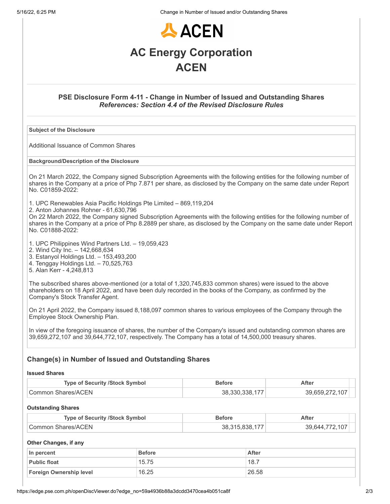5/16/22, 6:25 PM Change in Number of Issued and/or Outstanding Shares



# **PSE Disclosure Form 4-11 - Change in Number of Issued and Outstanding Shares** *References: Section 4.4 of the Revised Disclosure Rules*

## **Subject of the Disclosure**

Additional Issuance of Common Shares

#### **Background/Description of the Disclosure**

On 21 March 2022, the Company signed Subscription Agreements with the following entities for the following number of shares in the Company at a price of Php 7.871 per share, as disclosed by the Company on the same date under Report No. C01859-2022:

1. UPC Renewables Asia Pacific Holdings Pte Limited – 869,119,204

2. Anton Johannes Rohner - 61,630,796

On 22 March 2022, the Company signed Subscription Agreements with the following entities for the following number of shares in the Company at a price of Php 8.2889 per share, as disclosed by the Company on the same date under Report No. C01888-2022:

- 1. UPC Philippines Wind Partners Ltd. 19,059,423
- 2. Wind City Inc. 142,668,634
- 3. Estanyol Holdings Ltd. 153,493,200
- 4. Tenggay Holdings Ltd. 70,525,763
- 5. Alan Kerr 4,248,813

The subscribed shares above-mentioned (or a total of 1,320,745,833 common shares) were issued to the above shareholders on 18 April 2022, and have been duly recorded in the books of the Company, as confirmed by the Company's Stock Transfer Agent.

On 21 April 2022, the Company issued 8,188,097 common shares to various employees of the Company through the Employee Stock Ownership Plan.

In view of the foregoing issuance of shares, the number of the Company's issued and outstanding common shares are 39,659,272,107 and 39,644,772,107, respectively. The Company has a total of 14,500,000 treasury shares.

# **Change(s) in Number of Issued and Outstanding Shares**

#### **Issued Shares**

| <b>Type of Security /Stock Symbol</b> | <b>Before</b>  | After          |
|---------------------------------------|----------------|----------------|
| Common Shares/ACEN                    | 38.330.338.177 | 39,659,272,107 |

## **Outstanding Shares**

| <b>Type of Security /Stock Symbol</b> | Before         | After          |
|---------------------------------------|----------------|----------------|
| Common Shares/ACEN                    | 38.315.838.177 | 39.644.772.107 |

## **Other Changes, if any**

| ∣ In percent            | <b>Before</b> | <b>After</b> |
|-------------------------|---------------|--------------|
| <b>Public float</b>     | 15.75         | 18.7         |
| Foreign Ownership level | 16.25         | 26.58        |